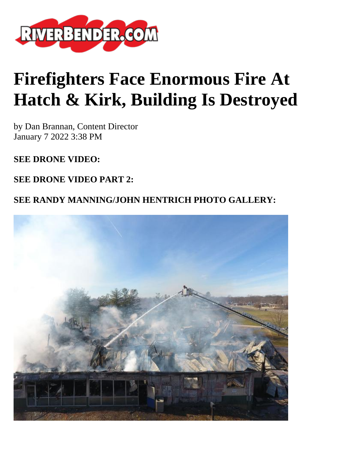

## **Firefighters Face Enormous Fire At Hatch & Kirk, Building Is Destroyed**

by Dan Brannan, Content Director January 7 2022 3:38 PM

**SEE DRONE VIDEO:**

**SEE DRONE VIDEO PART 2:**

**SEE RANDY MANNING/JOHN HENTRICH PHOTO GALLERY:**

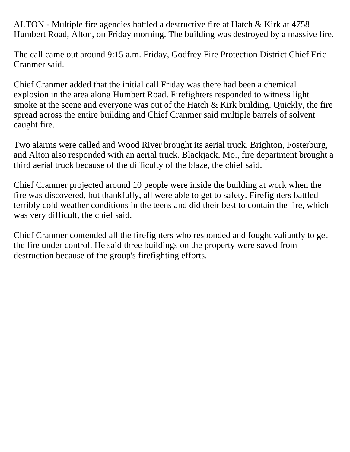ALTON - Multiple fire agencies battled a destructive fire at Hatch & Kirk at 4758 Humbert Road, Alton, on Friday morning. The building was destroyed by a massive fire.

The call came out around 9:15 a.m. Friday, Godfrey Fire Protection District Chief Eric Cranmer said.

Chief Cranmer added that the initial call Friday was there had been a chemical explosion in the area along Humbert Road. Firefighters responded to witness light smoke at the scene and everyone was out of the Hatch & Kirk building. Quickly, the fire spread across the entire building and Chief Cranmer said multiple barrels of solvent caught fire.

Two alarms were called and Wood River brought its aerial truck. Brighton, Fosterburg, and Alton also responded with an aerial truck. Blackjack, Mo., fire department brought a third aerial truck because of the difficulty of the blaze, the chief said.

Chief Cranmer projected around 10 people were inside the building at work when the fire was discovered, but thankfully, all were able to get to safety. Firefighters battled terribly cold weather conditions in the teens and did their best to contain the fire, which was very difficult, the chief said.

Chief Cranmer contended all the firefighters who responded and fought valiantly to get the fire under control. He said three buildings on the property were saved from destruction because of the group's firefighting efforts.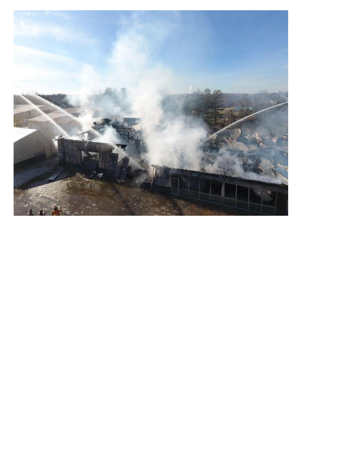